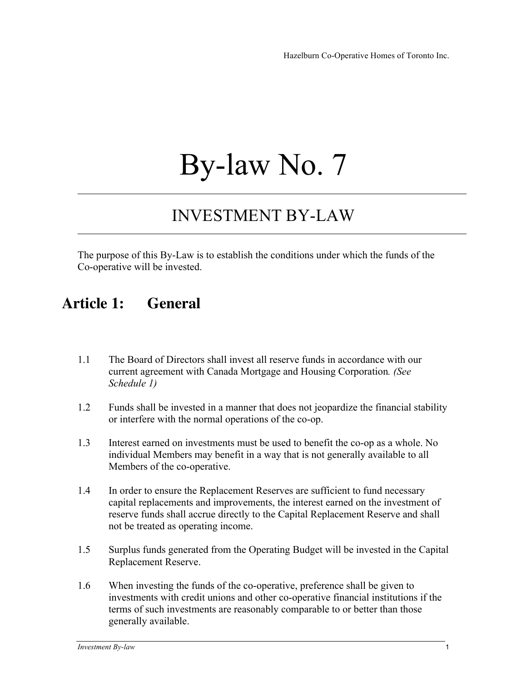# By-law No. 7

## INVESTMENT BY-LAW

The purpose of this By-Law is to establish the conditions under which the funds of the Co-operative will be invested.

#### **Article 1: General**

- 1.1 The Board of Directors shall invest all reserve funds in accordance with our current agreement with Canada Mortgage and Housing Corporation*. (See Schedule 1)*
- 1.2 Funds shall be invested in a manner that does not jeopardize the financial stability or interfere with the normal operations of the co-op.
- 1.3 Interest earned on investments must be used to benefit the co-op as a whole. No individual Members may benefit in a way that is not generally available to all Members of the co-operative.
- 1.4 In order to ensure the Replacement Reserves are sufficient to fund necessary capital replacements and improvements, the interest earned on the investment of reserve funds shall accrue directly to the Capital Replacement Reserve and shall not be treated as operating income.
- 1.5 Surplus funds generated from the Operating Budget will be invested in the Capital Replacement Reserve.
- 1.6 When investing the funds of the co-operative, preference shall be given to investments with credit unions and other co-operative financial institutions if the terms of such investments are reasonably comparable to or better than those generally available.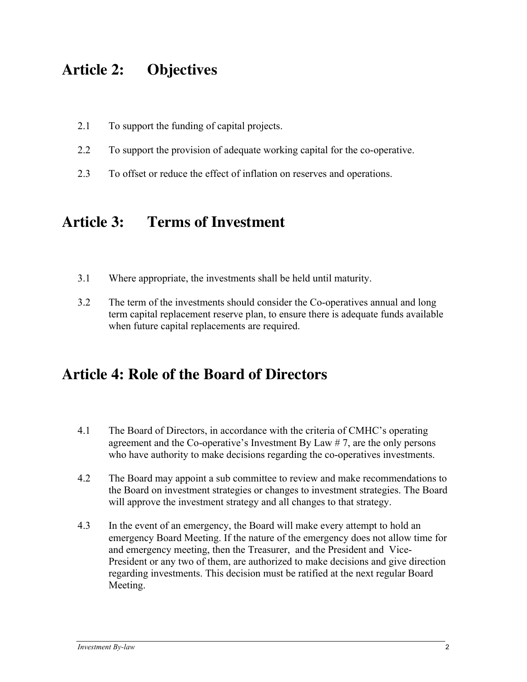#### **Article 2: Objectives**

- 2.1 To support the funding of capital projects.
- 2.2 To support the provision of adequate working capital for the co-operative.
- 2.3 To offset or reduce the effect of inflation on reserves and operations.

#### **Article 3: Terms of Investment**

- 3.1 Where appropriate, the investments shall be held until maturity.
- 3.2 The term of the investments should consider the Co-operatives annual and long term capital replacement reserve plan, to ensure there is adequate funds available when future capital replacements are required.

#### **Article 4: Role of the Board of Directors**

- 4.1 The Board of Directors, in accordance with the criteria of CMHC's operating agreement and the Co-operative's Investment By Law # 7, are the only persons who have authority to make decisions regarding the co-operatives investments.
- 4.2 The Board may appoint a sub committee to review and make recommendations to the Board on investment strategies or changes to investment strategies. The Board will approve the investment strategy and all changes to that strategy.
- 4.3 In the event of an emergency, the Board will make every attempt to hold an emergency Board Meeting. If the nature of the emergency does not allow time for and emergency meeting, then the Treasurer, and the President and Vice-President or any two of them, are authorized to make decisions and give direction regarding investments. This decision must be ratified at the next regular Board Meeting.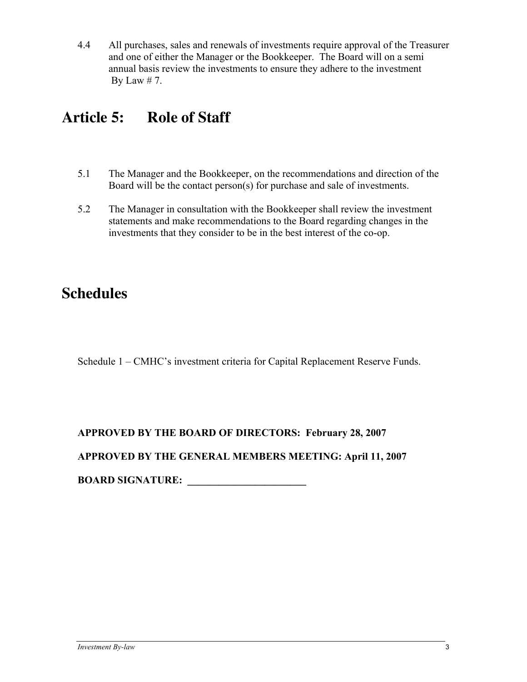4.4 All purchases, sales and renewals of investments require approval of the Treasurer and one of either the Manager or the Bookkeeper. The Board will on a semi annual basis review the investments to ensure they adhere to the investment By Law  $# 7$ .

### **Article 5: Role of Staff**

- 5.1 The Manager and the Bookkeeper, on the recommendations and direction of the Board will be the contact person(s) for purchase and sale of investments.
- 5.2 The Manager in consultation with the Bookkeeper shall review the investment statements and make recommendations to the Board regarding changes in the investments that they consider to be in the best interest of the co-op.

#### **Schedules**

Schedule 1 – CMHC's investment criteria for Capital Replacement Reserve Funds.

#### **APPROVED BY THE BOARD OF DIRECTORS: February 28, 2007**

**APPROVED BY THE GENERAL MEMBERS MEETING: April 11, 2007**